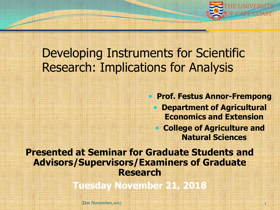

### Developing Instruments for Scientific Research: Implications for Analysis

 **Prof. Festus Annor-Frempong Department of Agricultural Economics and Extension College of Agriculture and** 

**Natural Sciences**

**Presented at Seminar for Graduate Students and Advisors/Supervisors/Examiners of Graduate Research** 

**Tuesday November 21, 2018**

21st November, 2017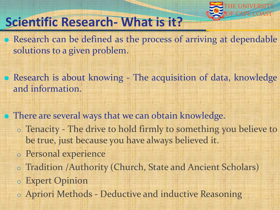

# **Scientific Research- What is it?**

- Research can be defined as the process of arriving at dependable solutions to a given problem.
- Research is about knowing The acquisition of data, knowledge and information.
- **There are several ways that we can obtain knowledge.** 
	- o Tenacity The drive to hold firmly to something you believe to be true, just because you have always believed it.
	- o Personal experience
	- o Tradition /Authority (Church, State and Ancient Scholars)
	- o Expert Opinion
	- o Apriori Methods Deductive and inductive Reasoning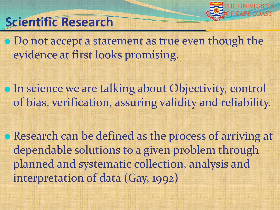

# **Scientific Research**

• Do not accept a statement as true even though the evidence at first looks promising.

**• In science we are talking about Objectivity, control** of bias, verification, assuring validity and reliability.

Research can be defined as the process of arriving at dependable solutions to a given problem through planned and systematic collection, analysis and interpretation of data (Gay, 1992)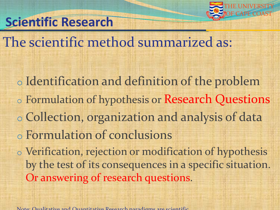

# **Scientific Research**

The scientific method summarized as:

o Identification and definition of the problem o Formulation of hypothesis or Research Questions o Collection, organization and analysis of data o Formulation of conclusions o Verification, rejection or modification of hypothesis by the test of its consequences in a specific situation. Or answering of research questions.

Note: Qualitative and Quantitative Research paradigms are scientific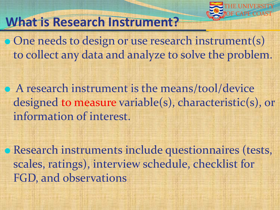

### **What is Research Instrument?**

• One needs to design or use research instrument(s) to collect any data and analyze to solve the problem.

 A research instrument is the means/tool/device designed to measure variable(s), characteristic(s), or information of interest.

Research instruments include questionnaires (tests, scales, ratings), interview schedule, checklist for FGD, and observations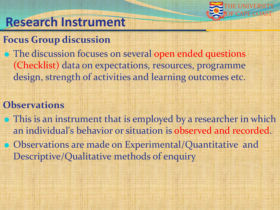

### **Research Instrument**

#### **Focus Group discussion**

 The discussion focuses on several open ended questions (Checklist) data on expectations, resources, programme design, strength of activities and learning outcomes etc.

#### **Observations**

 This is an instrument that is employed by a researcher in which an individual's behavior or situation is observed and recorded. Observations are made on Experimental/Quantitative and Descriptive/Qualitative methods of enquiry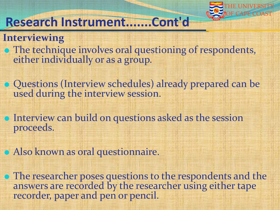

### **Research Instrument.......Cont'd**

#### **Interviewing**

- The technique involves oral questioning of respondents, either individually or as a group.
- Questions (Interview schedules) already prepared can be used during the interview session.
- Interview can build on questions asked as the session proceeds.
- Also known as oral questionnaire.
- The researcher poses questions to the respondents and the answers are recorded by the researcher using either tape recorder, paper and pen or pencil.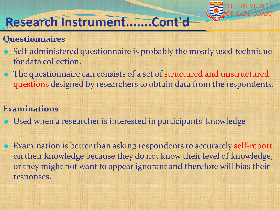

### **Research Instrument.......Cont'd**

#### **Questionnaires**

- Self-administered questionnaire is probably the mostly used technique for data collection.
- The questionnaire can consists of a set of structured and unstructured questions designed by researchers to obtain data from the respondents.

#### **Examinations**

- Used when a researcher is interested in participants' knowledge
- Examination is better than asking respondents to accurately self-report on their knowledge because they do not know their level of knowledge, or they might not want to appear ignorant and therefore will bias their responses.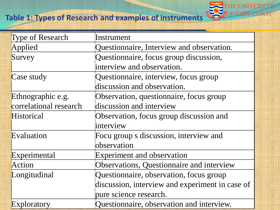#### Table 1: Types of Research and examples of instruments **Coast 200 F CAPE COAST**



| <b>Type of Research</b> | Instrument                                      |
|-------------------------|-------------------------------------------------|
| Applied                 | Questionnaire, Interview and observation.       |
| Survey                  | Questionnaire, focus group discussion,          |
|                         | interview and observation.                      |
| Case study              | Questionnaire, interview, focus group           |
|                         | discussion and observation.                     |
| Ethnographic e.g.       | Observation, questionnaire, focus group         |
| correlational research  | discussion and interview                        |
| Historical              | Observation, focus group discussion and         |
|                         | interview                                       |
| Evaluation              | Focu group s discussion, interview and          |
|                         | observation                                     |
| Experimental            | <b>Experiment and observation</b>               |
| Action                  | Observations, Questionnaire and interview       |
| Longitudinal            | Questionnaire, observation, focus group         |
|                         | discussion, interview and experiment in case of |
|                         | pure science research.                          |
| Exploratory             | Questionnaire, observation and interview.       |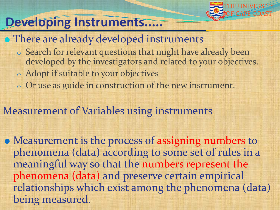

# **Developing Instruments.....**

#### • There are already developed instruments

- o Search for relevant questions that might have already been developed by the investigators and related to your objectives.
- o Adopt if suitable to your objectives
- o Or use as guide in construction of the new instrument.

#### Measurement of Variables using instruments

• Measurement is the process of assigning numbers to phenomena (data) according to some set of rules in a meaningful way so that the numbers represent the phenomena (data) and preserve certain empirical relationships which exist among the phenomena (data) being measured.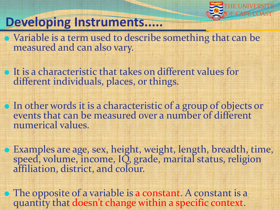

### **Developing Instruments.....**

 Variable is a term used to describe something that can be measured and can also vary.

 It is a characteristic that takes on different values for different individuals, places, or things.

 In other words it is a characteristic of a group of objects or events that can be measured over a number of different numerical values.

 Examples are age, sex, height, weight, length, breadth, time, speed, volume, income, IQ, grade, marital status, religion affiliation, district, and colour.

 The opposite of a variable is a constant. A constant is a quantity that doesn't change within a specific context.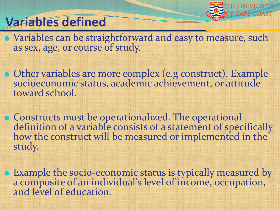

## **Variables defined**

 Variables can be straightforward and easy to measure, such as sex, age, or course of study.

 Other variables are more complex (e.g construct). Example socioeconomic status, academic achievement, or attitude toward school.

**• Constructs must be operationalized. The operational** definition of a variable consists of a statement of specifically how the construct will be measured or implemented in the study.

 Example the socio-economic status is typically measured by a composite of an individual's level of income, occupation, and level of education.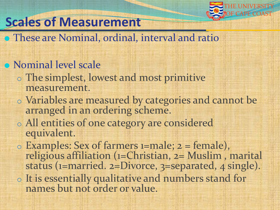

# **Scales of Measurement**

#### **• These are Nominal, ordinal, interval and ratio**

#### Nominal level scale

- o The simplest, lowest and most primitive measurement.
- o Variables are measured by categories and cannot be arranged in an ordering scheme.
- o All entities of one category are considered equivalent.
- $\circ$  Examples: Sex of farmers 1=male;  $2 =$  female), religious affiliation (1=Christian, 2= Muslim , marital status (1=married. 2=Divorce, 3=separated, 4 single).
- o It is essentially qualitative and numbers stand for names but not order or value.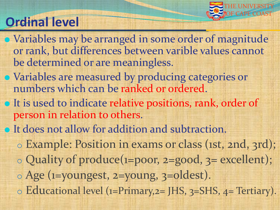

# **Ordinal level**

- Variables may be arranged in some order of magnitude or rank, but differences between varible values cannot be determined or are meaningless.
- Variables are measured by producing categories or numbers which can be ranked or ordered.
- It is used to indicate relative positions, rank, order of person in relation to others.
- It does not allow for addition and subtraction.
	- o Example: Position in exams or class (1st, 2nd, 3rd);
	- o Quality of produce(1=poor, 2=good, 3= excellent);
	- o Age (1=youngest, 2=young, 3=oldest).
	- o Educational level (1=Primary,2= JHS, 3=SHS, 4= Tertiary).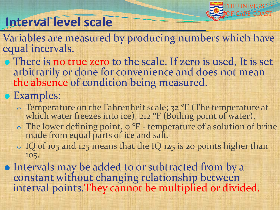

# **Interval level scale**

- Variables are measured by producing numbers which have equal intervals.
- There is no true zero to the scale. If zero is used, It is set arbitrarily or done for convenience and does not mean the absence of condition being measured.

#### • Examples:

- o Temperature on the Fahrenheit scale; 32 °F (The temperature at which water freezes into ice), 212 °F (Boiling point of water),
- o The lower defining point, 0 °F temperature of a solution of brine made from equal parts of ice and salt.
- o IQ of 105 and 125 means that the IQ 125 is 20 points higher than 105.
- Intervals may be added to or subtracted from by a constant without changing relationship between interval points.They cannot be multiplied or divided.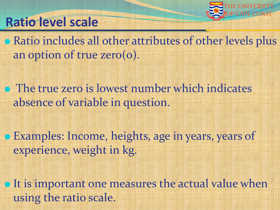

### **Ratio level scale**

**• Ratio includes all other attributes of other levels plus** an option of true zero(0).

**• The true zero is lowest number which indicates** absence of variable in question.

Examples: Income, heights, age in years, years of experience, weight in kg.

• It is important one measures the actual value when using the ratio scale.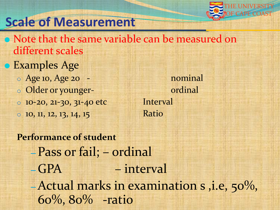

### **Scale of Measurement**

- Note that the same variable can be measured on different scales
- Examples Age
	- o Age 10, Age 20 nominal
	- o Older or younger-<br>
	ordinal
	- o 10-20, 21-30, 31-40 etc Interval
	- $\circ$  10, 11, 12, 13, 14, 15 Ratio

**Performance of student** – Pass or fail; – ordinal – GPA – interval –Actual marks in examination s ,i.e, 50%, 60%, 80% -ratio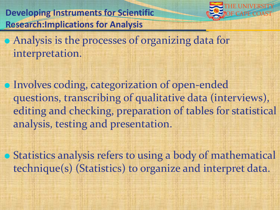**Developing Instruments for Scientific Research:Implications for Analysis**



 Analysis is the processes of organizing data for interpretation.

 Involves coding, categorization of open-ended questions, transcribing of qualitative data (interviews), editing and checking, preparation of tables for statistical analysis, testing and presentation.

 Statistics analysis refers to using a body of mathematical technique(s) (Statistics) to organize and interpret data.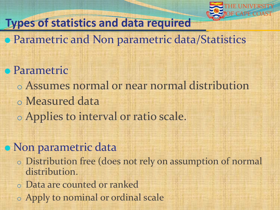

### **Types of statistics and data required**

- **Parametric and Non parametric data/Statistics**
- **Parametric** 
	- o Assumes normal or near normal distribution
	- o Measured data
	- o Applies to interval or ratio scale.

#### • Non parametric data

- o Distribution free (does not rely on assumption of normal distribution.
- o Data are counted or ranked
- o Apply to nominal or ordinal scale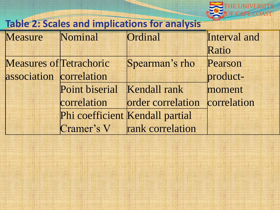

### **Table 2: Scales and implications for analysis**

| Measure                 | Nominal        | Ordinal                         | Interval and |
|-------------------------|----------------|---------------------------------|--------------|
|                         |                |                                 | Ratio        |
| Measures of Tetrachoric |                | Spearman's rho                  | Pearson      |
| association correlation |                |                                 | product-     |
|                         | Point biserial | <b>Kendall rank</b>             | moment       |
|                         | correlation    | order correlation               | correlation  |
|                         |                | Phi coefficient Kendall partial |              |
|                         |                | Cramer's V rank correlation     |              |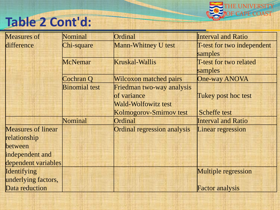

# **Table 2 Cont'd:**

| <b>Measures of</b>        | Nominal              | Ordinal                       | <b>Interval and Ratio</b>  |
|---------------------------|----------------------|-------------------------------|----------------------------|
| difference                | Chi-square           | <b>Mann-Whitney U test</b>    | T-test for two independent |
|                           |                      |                               | samples                    |
|                           | <b>McNemar</b>       | <b>Kruskal-Wallis</b>         | T-test for two related     |
|                           |                      |                               | samples                    |
|                           | Cochran Q            | <b>Wilcoxon matched pairs</b> | <b>One-way ANOVA</b>       |
|                           | <b>Binomial test</b> | Friedman two-way analysis     |                            |
|                           |                      | of variance                   | Tukey post hoc test        |
|                           |                      | <b>Wald-Wolfowitz test</b>    |                            |
|                           |                      | Kolmogorov-Smirnov test       | Scheffe test               |
|                           | Nominal              | Ordinal                       | <b>Interval and Ratio</b>  |
| <b>Measures of linear</b> |                      | Ordinal regression analysis   | Linear regression          |
| relationship              |                      |                               |                            |
| between                   |                      |                               |                            |
| independent and           |                      |                               |                            |
| dependent variables       |                      |                               |                            |
| Identifying               |                      |                               | <b>Multiple regression</b> |
| underlying factors,       |                      |                               |                            |
| Data reduction            |                      |                               | <b>Factor analysis</b>     |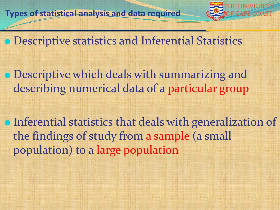

Descriptive statistics and Inferential Statistics

**• Descriptive which deals with summarizing and** describing numerical data of a particular group

Inferential statistics that deals with generalization of the findings of study from a sample (a small population) to a large population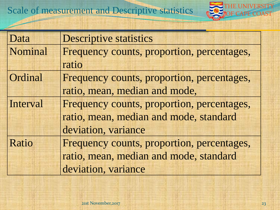

| Data     | <b>Descriptive statistics</b>              |
|----------|--------------------------------------------|
| Nominal  | Frequency counts, proportion, percentages, |
|          | ratio                                      |
| Ordinal  | Frequency counts, proportion, percentages, |
|          | ratio, mean, median and mode,              |
| Interval | Frequency counts, proportion, percentages, |
|          | ratio, mean, median and mode, standard     |
|          | deviation, variance                        |
| Ratio    | Frequency counts, proportion, percentages, |
|          | ratio, mean, median and mode, standard     |
|          | deviation, variance                        |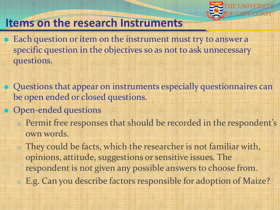

#### **Items on the research Instruments**

• Each question or item on the instrument must try to answer a specific question in the objectives so as not to ask unnecessary questions.

**• Questions that appear on instruments especially questionnaires can** be open ended or closed questions.

- Open-ended questions
	- o Permit free responses that should be recorded in the respondent's own words.

o They could be facts, which the researcher is not familiar with, opinions, attitude, suggestions or sensitive issues. The respondent is not given any possible answers to choose from.

o E.g. Can you describe factors responsible for adoption of Maize?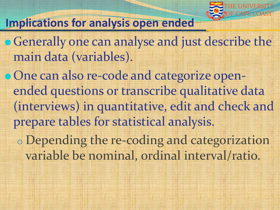

#### **Implications for analysis open ended**

**• Generally one can analyse and just describe the** main data (variables).

One can also re-code and categorize openended questions or transcribe qualitative data (interviews) in quantitative, edit and check and prepare tables for statistical analysis.

o Depending the re-coding and categorization variable be nominal, ordinal interval/ratio.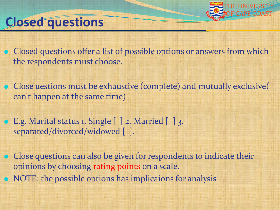

### **Closed questions**

• Closed questions offer a list of possible options or answers from which the respondents must choose.

 Close uestions must be exhaustive (complete) and mutually exclusive( can't happen at the same time)

 E.g. Marital status 1. Single [ ] 2. Married [ ] 3. separated/divorced/widowed [1].

• Close questions can also be given for respondents to indicate their opinions by choosing rating points on a scale. • NOTE: the possible options has implicaions for analysis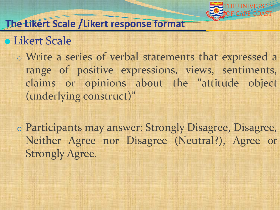

#### **The Likert Scale /Likert response format**

Likert Scale

o Write a series of verbal statements that expressed a range of positive expressions, views, sentiments, claims or opinions about the "attitude object (underlying construct)"

o Participants may answer: Strongly Disagree, Disagree, Neither Agree nor Disagree (Neutral?), Agree or Strongly Agree.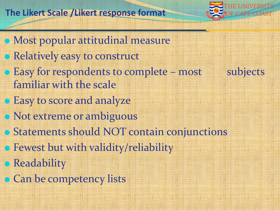#### The Likert Scale /Likert response format



 Most popular attitudinal measure Relatively easy to construct • Easy for respondents to complete – most subjects familiar with the scale **• Easy to score and analyze** • Not extreme or ambiguous Statements should NOT contain conjunctions **• Fewest but with validity/reliability • Readability • Can be competency lists**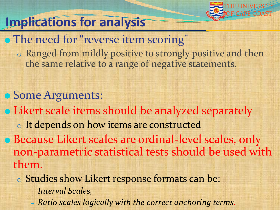

# **Implications for analysis**

- The need for "reverse item scoring"
	- o Ranged from mildly positive to strongly positive and then the same relative to a range of negative statements.
- Some Arguments: Likert scale items should be analyzed separately o It depends on how items are constructed Because Likert scales are ordinal-level scales, only non-parametric statistical tests should be used with them.
	- o Studies show Likert response formats can be:
		- *Interval Scales,*
		- *Ratio scales logically with the correct anchoring terms.*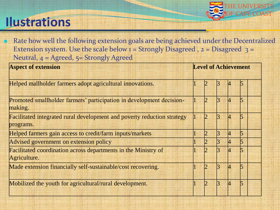# **Ilustrations**



 Rate how well the following extension goals are being achieved under the Decentralized Extension system. Use the scale below  $1 =$  Strongly Disagreed,  $2 =$  Disagreed  $3 =$ Neutral, 4 = Agreed, 5= Strongly Agreed

| <b>Aspect of extension</b>                                                           |  |  | <b>Level of Achievement</b> |   |  |  |  |
|--------------------------------------------------------------------------------------|--|--|-----------------------------|---|--|--|--|
| Helped mallholder farmers adopt agricultural innovations.                            |  |  |                             |   |  |  |  |
| Promoted smallholder farmers' participation in development decision-<br>making.      |  |  |                             |   |  |  |  |
| Facilitated integrated rural development and poverty reduction strategy<br>programs. |  |  | R                           |   |  |  |  |
| Helped farmers gain access to credit/farm inputs/markets                             |  |  |                             |   |  |  |  |
| Advised government on extension policy                                               |  |  | ß.                          | 4 |  |  |  |
| Facilitated coordination across departments in the Ministry of<br>Agriculture.       |  |  |                             |   |  |  |  |
| Made extension financially self-sustainable/cost recovering.                         |  |  |                             |   |  |  |  |
| Mobilized the youth for agricultural/rural development.                              |  |  |                             |   |  |  |  |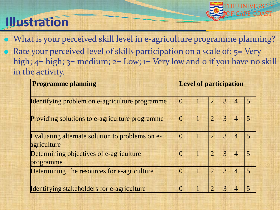# **Illustration**



 What is your perceived skill level in e-agriculture programme planning? Rate your perceived level of skills participation on a scale of: 5= Very high;  $4=$  high;  $3=$  medium;  $2=$  Low;  $1=$  Very low and o if you have no skill in the activity.

| <b>Programme planning</b>                                      | <b>Level of participation</b> |  |                |   |                |                |
|----------------------------------------------------------------|-------------------------------|--|----------------|---|----------------|----------------|
| Identifying problem on e-agriculture programme                 | $\theta$                      |  | $\overline{2}$ | 3 | $\overline{4}$ | 5 <sup>5</sup> |
| Providing solutions to e-agriculture programme                 | $\overline{0}$                |  | $\overline{2}$ | 3 | $\overline{4}$ | 5 <sup>5</sup> |
| Evaluating alternate solution to problems on e-<br>agriculture | $\Omega$                      |  | $\overline{2}$ | 3 | $\overline{4}$ | $\overline{5}$ |
| Determining objectives of e-agriculture<br>programme           | $\left($                      |  | $\overline{2}$ | 3 | $\overline{4}$ | $\overline{5}$ |
| Determining the resources for e-agriculture                    | $\theta$                      |  | $\overline{2}$ | 3 | $\overline{4}$ | 5              |
| <b>Identifying stakeholders for e-agriculture</b>              | 0                             |  | $\overline{2}$ | 3 |                | 5              |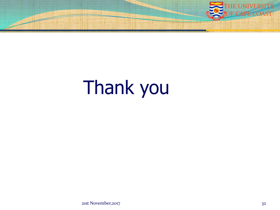

# Thank you

21st November,2017 32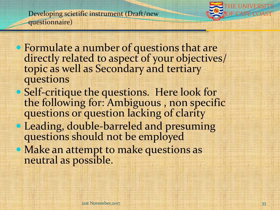Developing scietific instrument (Draft/new questionnaire)



- Formulate a number of questions that are directly related to aspect of your objectives/ topic as well as Secondary and tertiary questions
- Self-critique the questions. Here look for the following for: Ambiguous , non specific questions or question lacking of clarity
- Leading, double-barreled and presuming questions should not be employed
- Make an attempt to make questions as neutral as possible.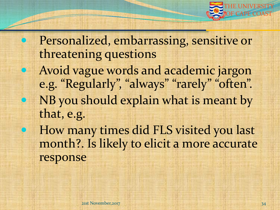

 Personalized, embarrassing, sensitive or threatening questions Avoid vague words and academic jargon e.g. "Regularly", "always" "rarely" "often". NB you should explain what is meant by that, e.g. How many times did FLS visited you last

month?. Is likely to elicit a more accurate response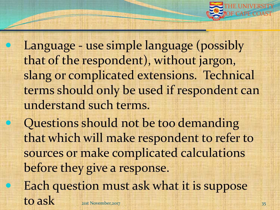

 Language - use simple language (possibly that of the respondent), without jargon, slang or complicated extensions. Technical terms should only be used if respondent can understand such terms.

 Questions should not be too demanding that which will make respondent to refer to sources or make complicated calculations before they give a response. Each question must ask what it is suppose  $\text{to ask}$  21st November,2017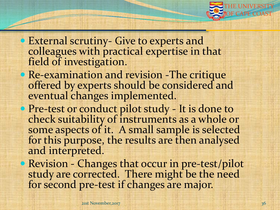

- External scrutiny- Give to experts and colleagues with practical expertise in that field of investigation.
- Re-examination and revision -The critique offered by experts should be considered and eventual changes implemented.
- Pre-test or conduct pilot study It is done to check suitability of instruments as a whole or some aspects of it. A small sample is selected for this purpose, the results are then analysed and interpreted.
- Revision Changes that occur in pre-test/pilot study are corrected. There might be the need for second pre-test if changes are major.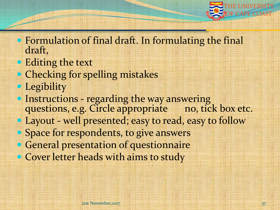

- Formulation of final draft. In formulating the final draft,
- Editing the text
- Checking for spelling mistakes
- Legibility
- **Instructions regarding the way answering** questions, e.g. Circle appropriate no, tick box etc.
- Layout well presented; easy to read, easy to follow
- Space for respondents, to give answers
- General presentation of questionnaire
- Cover letter heads with aims to study